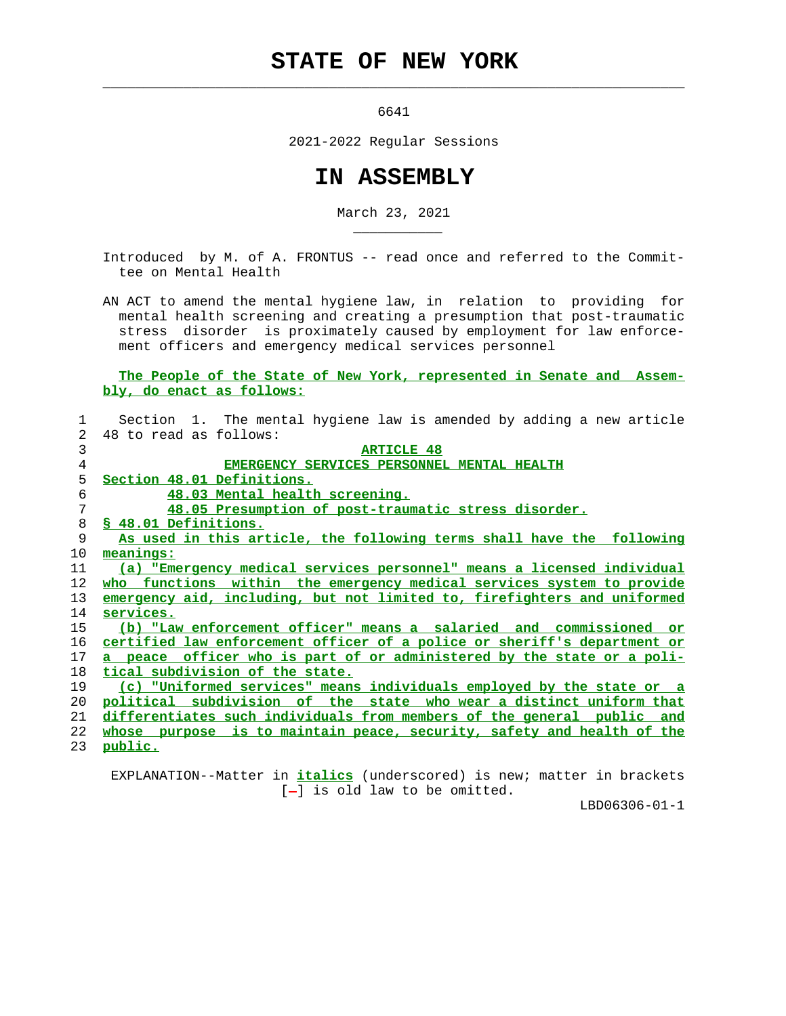## **STATE OF NEW YORK**

6641

 $\mathcal{L}_\text{max} = \frac{1}{2} \sum_{i=1}^{n} \frac{1}{2} \sum_{i=1}^{n} \frac{1}{2} \sum_{i=1}^{n} \frac{1}{2} \sum_{i=1}^{n} \frac{1}{2} \sum_{i=1}^{n} \frac{1}{2} \sum_{i=1}^{n} \frac{1}{2} \sum_{i=1}^{n} \frac{1}{2} \sum_{i=1}^{n} \frac{1}{2} \sum_{i=1}^{n} \frac{1}{2} \sum_{i=1}^{n} \frac{1}{2} \sum_{i=1}^{n} \frac{1}{2} \sum_{i=1}^{n} \frac{1$ 

\_\_\_\_\_\_\_\_\_\_\_

2021-2022 Regular Sessions

## **IN ASSEMBLY**

March 23, 2021

 Introduced by M. of A. FRONTUS -- read once and referred to the Commit tee on Mental Health

 AN ACT to amend the mental hygiene law, in relation to providing for mental health screening and creating a presumption that post-traumatic stress disorder is proximately caused by employment for law enforce ment officers and emergency medical services personnel

 **The People of the State of New York, represented in Senate and Assem bly, do enact as follows:**

|                   | Section 1. The mental hygiene law is amended by adding a new article     |
|-------------------|--------------------------------------------------------------------------|
| $\overline{2}$    | 48 to read as follows:                                                   |
| 3                 | <b>ARTICLE 48</b>                                                        |
| 4                 | EMERGENCY SERVICES PERSONNEL MENTAL HEALTH                               |
| 5                 | Section 48.01 Definitions.                                               |
| 6                 | 48.03 Mental health screening.                                           |
| 7                 | 48.05 Presumption of post-traumatic stress disorder.                     |
| 8                 | \$ 48.01 Definitions.                                                    |
| 9                 | As used in this article, the following terms shall have the following    |
| 10                | meanings:                                                                |
| 11                | (a) "Emergency medical services personnel" means a licensed individual   |
| $12 \overline{ }$ | who functions within the emergency medical services system to provide    |
| 13                | emergency aid, including, but not limited to, firefighters and uniformed |
| 14                | services.                                                                |
| 15                | (b) "Law enforcement officer" means a salaried and commissioned or       |
| 16                | certified law enforcement officer of a police or sheriff's department or |
| 17                | a peace officer who is part of or administered by the state or a poli-   |
| 18                | tical subdivision of the state.                                          |
| 19                | (c) "Uniformed services" means individuals employed by the state or a    |
| 20                | political subdivision of the state who wear a distinct uniform that      |
| 21                | differentiates such individuals from members of the general public and   |
| 22                | whose purpose is to maintain peace, security, safety and health of the   |
| 23                | <u>public.</u>                                                           |
|                   |                                                                          |

 EXPLANATION--Matter in **italics** (underscored) is new; matter in brackets [-] is old law to be omitted.

LBD06306-01-1